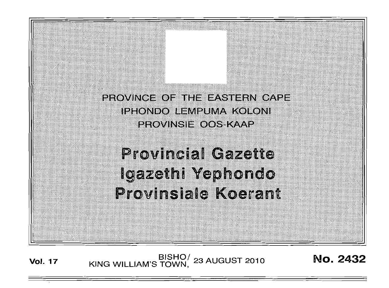PROVINCE OF THE EASTERN CAPE **IPHONDO LEMPUMA KOLONI** PROVINSIE OOS KAAP

# **Provincial Gazette** Igazethi Yephondo Provinsiale Koerant

**Vol. 17 BISHO**/ 23 AUGUST 2010 **No. 2432**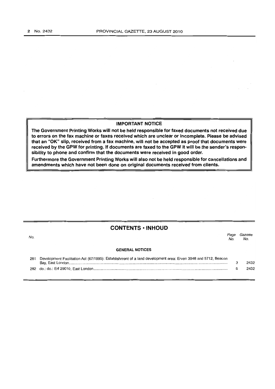#### IMPORTANT NOTICE

The Government Printing Works will not be held responsible for faxed documents not received due to errors on the fax machine or faxes received which are unclear or incomplete. Please be advised that an "OK" slip, received from a fax machine, will not be accepted as proof that documents were received by the GPW for printing. If documents are faxed to the GPW it will be the sender's responsibility to phone and confirm that the documents were received in good order.

Furthermore the Government Printing Works will also not be held responsible for cancellations and amendments which have not been done on original documents received from clients.

## CONTENTS • INHOUD

Page Gazette

| No. |                                                                                                               | au u<br>No. | -----<br>No. |  |
|-----|---------------------------------------------------------------------------------------------------------------|-------------|--------------|--|
|     | <b>GENERAL NOTICES</b>                                                                                        |             |              |  |
| 281 | Development Facilitation Act (67/1995): Establishment of a land development area: Erven 3948 and 5712, Beacon |             | 2432         |  |
|     |                                                                                                               |             | 2432         |  |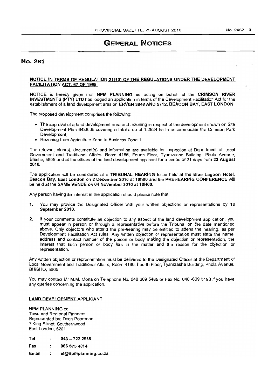### No. 281

#### NOTICE IN TERMS OF REGULATION 21(10) OF THE REGULATIONS UNDER THE DEVELOPMENT FACILITATION ACT, 67 OF 1995

NOTICE is hereby given that NPM PLANNING cc acting on behalf of the CRIMSON RIVER INVESTMENTS (PTY) LTD has lodged an application in terms of the Development Facilitation Act for the establishment of a land development area on ERVEN 3948 AND 5712, BEACON BAY, EAST LONDON

The proposed development comprises the following:

- The approval of a land development area and rezoning in respect of the development shown on Site Development Plan 6438.05 covering a total area of 1.2824 ha to accommodate the Crimson Park Development;
- Rezoning from Agriculture Zone to Business Zone 1.

The relevant plan(s), document(s) and information are available for inspection at Department of Local Government and Traditional Affairs, Room 4186, Fourth Floor, Tyamzashe Building, Phola Avenue, Bhisho, 5605 and at the offices of the land development applicant for a period of 21 days from 23 August 2010.

The application will be considered at a TRIBUNAL HEARING to be held at the Blue Lagoon Hotel, Beacon Bay, East London on 2 December 2010 at 10hOO and the PREHEARING CONFERENCE will be held at the SAME VENUE on 04 November 2010 at 10HOO.

Any person having an interest in the application should please note that:

- 1. You may provide the Designated Officer with your written objections or representations by 13 September 2010.
- 2. If your comments constitute an objection to any aspect of the land development application, you must appear in person or through a representative before the Tribunal on the date mentioned above. Only objectors who attend the pre-hearing may be entitled to attend the hearing, as per Development Facilitation Act rules. Any written objection or representation must state the name, address and contact number of the person or body making the objection or representation, the interest that such person or body has in the matter and the reason for the objection or representation.

Any written objection or representation must be delivered to the Designated Officer at the Department of Local Government and Traditional Affairs, Room 4186, Fourth Floor, Tyamzashe Building, Phola Avenue, BHISHO, 5605.

You may contact Mr M.M. Mona on Telephone No. 040 609 5465 or Fax No. 040 -609 5198 if you have any queries concerning the application.

#### LAND DEVELOPMENT APPLICANT

NPM PLANNING cc Town and Regional Planners Represented by: Dean Poortman 7 King Street, Southernwood East London, 5201

| Tel | $043 - 7222935$ |
|-----|-----------------|
|-----|-----------------|

0866754814 Fax  $\cdot$ 

Email  $\cdot$ el@npmplanning.co.za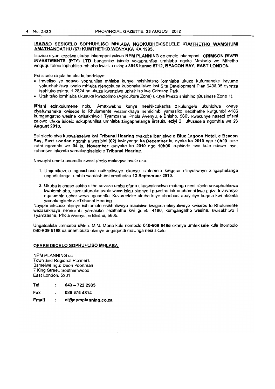#### ISAZISO SESICELO SOPHUHUSO MHLABA NGOKUBHEKISELELE KUMTHETHO WAMSHUMI AMATHANDATHU (67) KUMTHETHO WONYAKA KA 1995.

Isaziso siyanikezelwa ukuba inkampani yakwa NPM PLANNING cc emele inkampani i CRIMSON RIVER INVESTMENTS (PTY) LTD bangenise isicelo sokuphuhlisa umhlaba ngoko Mmiselo wo Mthetho woququzelelo lophuhliso-mhlaba kwiziza ezingu 3948 kunye 5712, BEACON BAY, EAST LONDON

Esi sicelo sigulathe oku kulandelayo:

- Imveliso ye ndawo yophuhliso mhlaba kunye notshintsho lomhlaba ukuze kufumaneke imvume yokuphuhliswa kwalo mhlaba njengokuba kubonakalisiwe kwi Site Development Plan 6438.05 eyenza isahluko esingu 1.2824 ha ukuze kwenziwe uphuhliso Iwe Crimson Park;
- Utshitsho lomhlaba ukusuka kwezolimo (Agriculture Zone) ukuya kwezo shishino (Business Zone 1).

liPlani ezinxulumene noku, Amaxwebhu kunye neeNkcukacha zikulungele ukuhlolwa kwaye ziyafumaneka kwisebe 10 Rhulumente wezamkhaya nemicimbi yamasiko nezithethe kwigumbi 4186 kumgangatho wesine kwisakhiwo i Tyamzashe, Phola Avenyu, e Bhisho, 5605 kwakunye nasezi ofisini zalowo ufake isicelo sokuphuhlisa umhlaba zingaphelanga iintsuku eziyi 21 ukususela ngomhla we 23 August 2010.

Esi sicelo siya kuqwalaselwa kwi Tribunal Hearing eyakube ibanjelwe e Blue Lagoon Hotel, e Beacon Bay, East London ngomhla wesibini (02) kwinyanga ka December ku nyaka ka 2010 ngo 10hOO kuze kuthi ngomhla we 04 ku November kunyaka ka 2010 ngo 10hOO kuphinde kwa kule ndawo inye, kubanjwe inkomfa yamalungiselelo e Tribunal Hearing.

Nawuphi umntu onomdla kwesi sicelo makaqwalasele oku:

- 1. Unganikezela ngesichaso esibhaliweyo okanye isihlomelo kwigosa elinyuliweyo zingaphelanga ungadlulanga umhla wamashumi amathathu 13 September 2010.
- 2. Ukuba isichaso sakho sithe saveza umba ofuna ukuqwalaselwa malunga nesi sicelo sokuphuhliswa kwalomhlaba, kuzakufunaka uvele wena isiqu okanye i gqwetha lakho phambi kwe gqiza lovavanyo ngalomhla uchaziweyo ngasentla. Kuvumeleke ukuba kuye abachasi abayileyo kuqala kwi nkomfa yamalungiselelo eTribunal Hearing. .

Nayiphi inkcaso okanye isihlomelo esibhaliweyo masisiwe kwigosa elinyuliweyo kwisebe 10 Rhulumente wezasekhaya nemicimbi yamasiko nezithethe kwi gumbi 4186, kumgangatho wesine, kwisakhiwo i Tyamzashe, Phola Avenyu, e Bhisho, 5605.

Ungatsalela umnxeba uMnu. M.M. Mona kule nombolo 040·609 5465 okanye umfekisele kule inombolo 040·609 5198 xa unemibuzo okanye ungaqondi malunga nesi sicelo.

#### OFAKE ISICELO SOPHUHLlSO MHLABA\_

NPM PLANNING cc Town and Regional Planners Bamelwe ngu: Deon Poortman 7 King Street, Southernwood East London, 5201

Tel  $\blacksquare$ 043 - 722 2935

0866754814 Fax  $\cdot$ 

Email ÷ el@npmplanning.co.za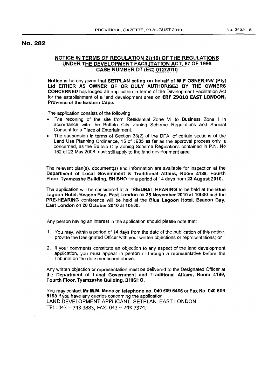## No. 282

## NOTICE IN TERMS OF REGULATION 21(10) OF THE REGULATIONS UNDER THE DEVELOPMENT FACILITATION ACT, 67 OF 1995 **CASE NUMBER DT (EC) 012/2010**

Notice is hereby given that SETPLAN acting on behalf of W F OSNER INV (Pty) Ltd EITHER AS OWNER OF OR DULY AUTHORISED BY THE OWNERS CONCERNED has lodged an application in terms of the Development Facilitation Act for the establishment of a land development area on ERF 29010 EAST LONDON, Province of the Eastern Cape.

The application consists of the following:

- The rezoning of the site from Residential Zone VI to Business Zone I in accordance with the Buffalo City Zoning Scheme Regulations and Special Consent for a Place of Entertainment.
- The suspension in terms of Section 33(2) of the DFA, of certain sections of the Land Use Planning Ordinance, 15 of 1985 as far as the approval process only is concerned, as the Buffalo City Zoning Scheme Regulations contained in P.N. No 152 of 23 May 2008 must still apply to the land development area

The relevant plan(s), document(s) and information are available for inspection at the Department of Local Government & Traditional Affairs, Room 4186, Fourth Floor; Tyamzashe Building, BHISHO for a period of 14 days from 23 August 2010.

The application will be considered at a TRIBUNAL HEARING to be held at the Blue Lagoon Hotel, Beacon Bay, East London on 25 November 2010 at 10hOO and the PRE-HEARING conference will be held at the Blue Lagoon Hotel, Beacon Bay, East London on 28 October 2010 at 10hOO.

Any person having an interest in the application should please note that:

- 1. You may, within a period of 14 days from the date of the publication of this notice, provide the Designated Officer with your written objections or representations; or
- 2. If your comments constitute an objection to any aspect of the land development application, you must appear in person or through a representative before the Tribunal on the date mentioned above.

Any written objection or representation must be delivered to the Designated Officer at the Department of Local Government and Traditional Affairs, Room 4186, Fourth Floor, Tyamzashe Building, BHISHO.

You may contact Mr M.M. Mona on telephone no. 040 609 5465 or Fax No. 040 609 5198 if you have any queries concerning the application. LAND DEVELOPMENT APPLICANT: SETPLAN, EAST LONDON TEL: 043 - 743 3883, FAX: 043 - 743 7374.